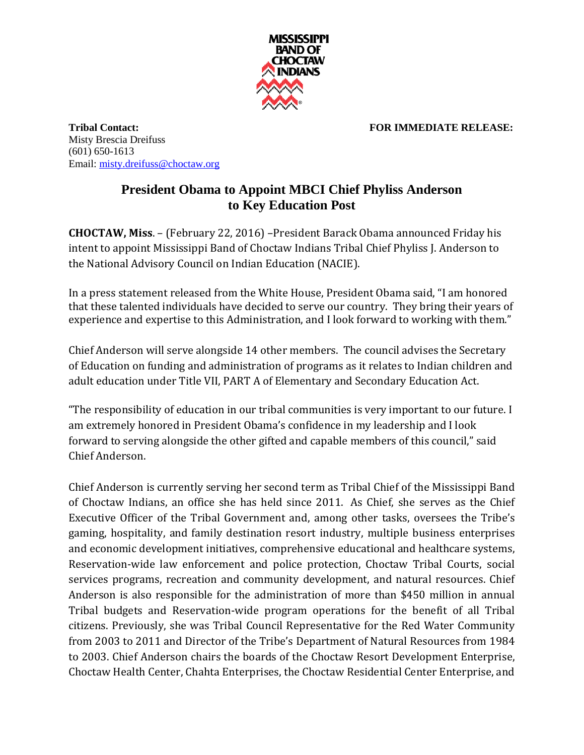

**Tribal Contact: FOR IMMEDIATE RELEASE:** Misty Brescia Dreifuss (601) 650-1613 Email: [misty.dreifuss@choctaw.org](mailto:misty.dreifuss@choctaw.org)

## **President Obama to Appoint MBCI Chief Phyliss Anderson to Key Education Post**

**CHOCTAW, Miss**. – (February 22, 2016) –President Barack Obama announced Friday his intent to appoint Mississippi Band of Choctaw Indians Tribal Chief Phyliss J. Anderson to the National Advisory Council on Indian Education (NACIE).

In a press statement released from the White House, President Obama said, "I am honored that these talented individuals have decided to serve our country. They bring their years of experience and expertise to this Administration, and I look forward to working with them."

Chief Anderson will serve alongside 14 other members. The council advises the Secretary of Education on funding and administration of programs as it relates to Indian children and adult education under Title VII, PART A of Elementary and Secondary Education Act.

"The responsibility of education in our tribal communities is very important to our future. I am extremely honored in President Obama's confidence in my leadership and I look forward to serving alongside the other gifted and capable members of this council," said Chief Anderson.

Chief Anderson is currently serving her second term as Tribal Chief of the Mississippi Band of Choctaw Indians, an office she has held since 2011. As Chief, she serves as the Chief Executive Officer of the Tribal Government and, among other tasks, oversees the Tribe's gaming, hospitality, and family destination resort industry, multiple business enterprises and economic development initiatives, comprehensive educational and healthcare systems, Reservation-wide law enforcement and police protection, Choctaw Tribal Courts, social services programs, recreation and community development, and natural resources. Chief Anderson is also responsible for the administration of more than \$450 million in annual Tribal budgets and Reservation-wide program operations for the benefit of all Tribal citizens. Previously, she was Tribal Council Representative for the Red Water Community from 2003 to 2011 and Director of the Tribe's Department of Natural Resources from 1984 to 2003. Chief Anderson chairs the boards of the Choctaw Resort Development Enterprise, Choctaw Health Center, Chahta Enterprises, the Choctaw Residential Center Enterprise, and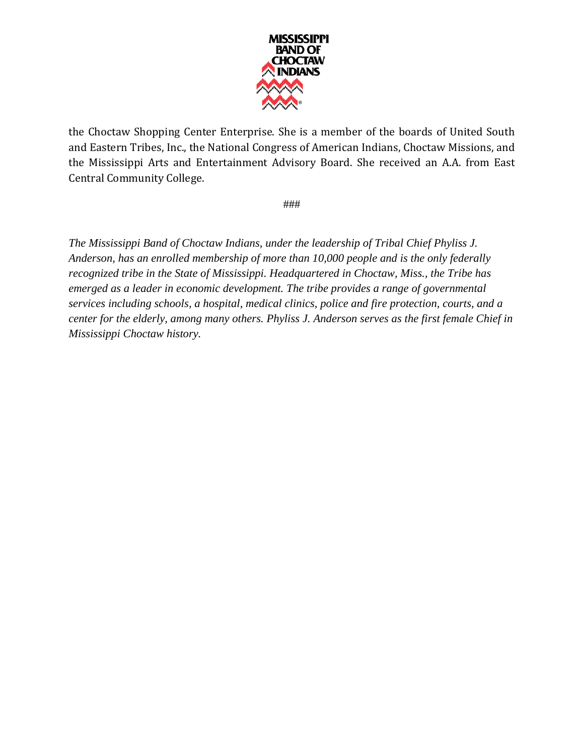

the Choctaw Shopping Center Enterprise. She is a member of the boards of United South and Eastern Tribes, Inc., the National Congress of American Indians, Choctaw Missions, and the Mississippi Arts and Entertainment Advisory Board. She received an A.A. from East Central Community College.

###

*The Mississippi Band of Choctaw Indians, under the leadership of Tribal Chief Phyliss J. Anderson, has an enrolled membership of more than 10,000 people and is the only federally recognized tribe in the State of Mississippi. Headquartered in Choctaw, Miss., the Tribe has emerged as a leader in economic development. The tribe provides a range of governmental services including schools, a hospital, medical clinics, police and fire protection, courts, and a center for the elderly, among many others. Phyliss J. Anderson serves as the first female Chief in Mississippi Choctaw history.*